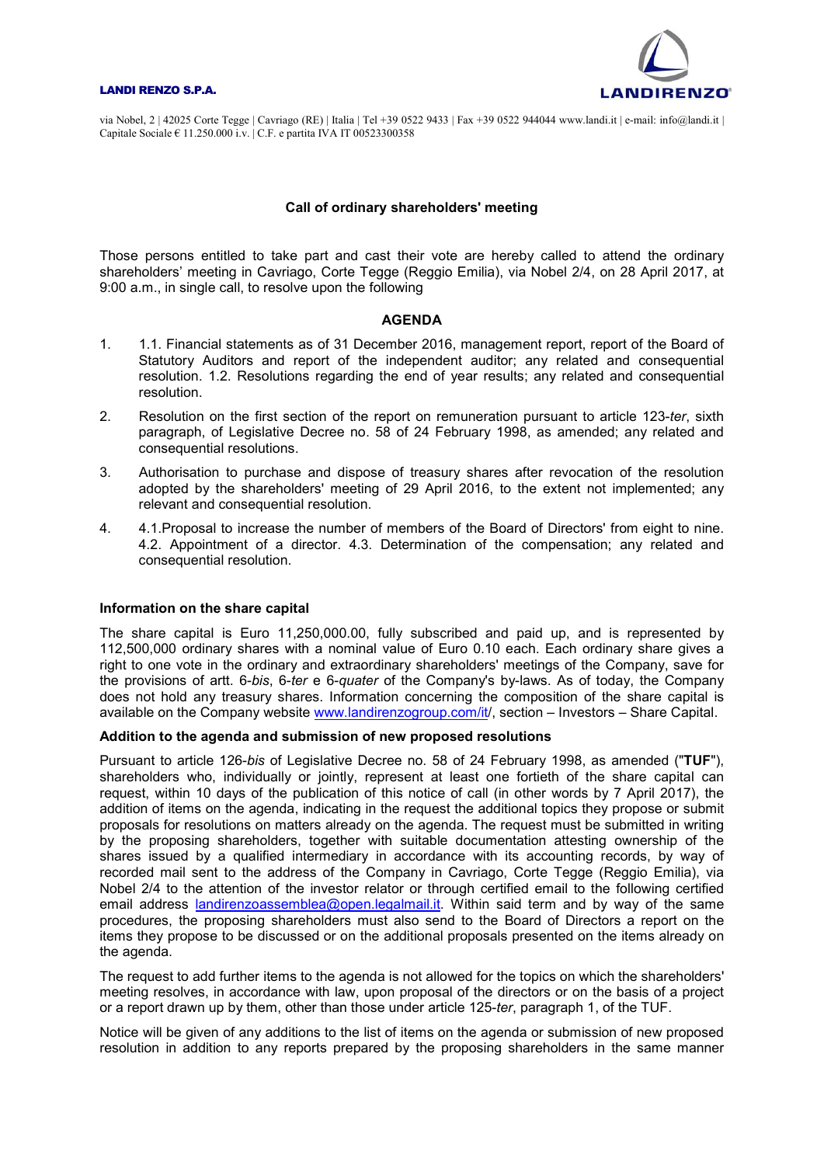#### LANDI RENZO S.P.A.



via Nobel, 2 | 42025 Corte Tegge | Cavriago (RE) | Italia | Tel +39 0522 9433 | Fax +39 0522 944044 www.landi.it | e-mail: info@landi.it | Capitale Sociale  $\epsilon$  11.250.000 i.v. C.F. e partita IVA IT 00523300358

# Call of ordinary shareholders' meeting

Those persons entitled to take part and cast their vote are hereby called to attend the ordinary shareholders' meeting in Cavriago, Corte Tegge (Reggio Emilia), via Nobel 2/4, on 28 April 2017, at 9:00 a.m., in single call, to resolve upon the following

#### AGENDA

- 1. 1.1. Financial statements as of 31 December 2016, management report, report of the Board of Statutory Auditors and report of the independent auditor; any related and consequential resolution. 1.2. Resolutions regarding the end of year results; any related and consequential resolution.
- 2. Resolution on the first section of the report on remuneration pursuant to article 123-ter, sixth paragraph, of Legislative Decree no. 58 of 24 February 1998, as amended; any related and consequential resolutions.
- 3. Authorisation to purchase and dispose of treasury shares after revocation of the resolution adopted by the shareholders' meeting of 29 April 2016, to the extent not implemented; any relevant and consequential resolution.
- 4. 4.1.Proposal to increase the number of members of the Board of Directors' from eight to nine. 4.2. Appointment of a director. 4.3. Determination of the compensation; any related and consequential resolution.

# Information on the share capital

The share capital is Euro 11,250,000.00, fully subscribed and paid up, and is represented by 112,500,000 ordinary shares with a nominal value of Euro 0.10 each. Each ordinary share gives a right to one vote in the ordinary and extraordinary shareholders' meetings of the Company, save for the provisions of artt. 6-bis, 6-ter e 6-quater of the Company's by-laws. As of today, the Company does not hold any treasury shares. Information concerning the composition of the share capital is available on the Company website www.landirenzogroup.com/it/, section – Investors – Share Capital.

# Addition to the agenda and submission of new proposed resolutions

Pursuant to article 126-bis of Legislative Decree no. 58 of 24 February 1998, as amended ("TUF"), shareholders who, individually or jointly, represent at least one fortieth of the share capital can request, within 10 days of the publication of this notice of call (in other words by 7 April 2017), the addition of items on the agenda, indicating in the request the additional topics they propose or submit proposals for resolutions on matters already on the agenda. The request must be submitted in writing by the proposing shareholders, together with suitable documentation attesting ownership of the shares issued by a qualified intermediary in accordance with its accounting records, by way of recorded mail sent to the address of the Company in Cavriago, Corte Tegge (Reggio Emilia), via Nobel 2/4 to the attention of the investor relator or through certified email to the following certified email address landirenzoassemblea@open.legalmail.it. Within said term and by way of the same procedures, the proposing shareholders must also send to the Board of Directors a report on the items they propose to be discussed or on the additional proposals presented on the items already on the agenda.

The request to add further items to the agenda is not allowed for the topics on which the shareholders' meeting resolves, in accordance with law, upon proposal of the directors or on the basis of a project or a report drawn up by them, other than those under article 125-ter, paragraph 1, of the TUF.

Notice will be given of any additions to the list of items on the agenda or submission of new proposed resolution in addition to any reports prepared by the proposing shareholders in the same manner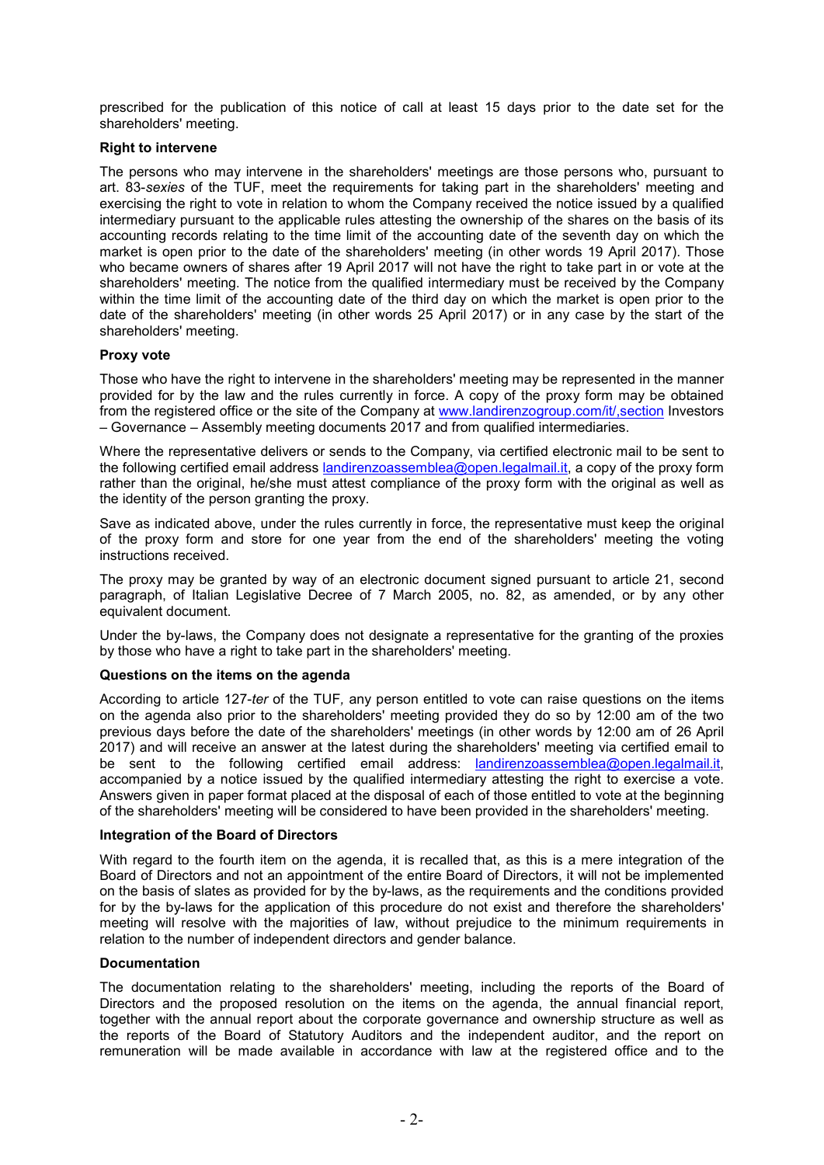prescribed for the publication of this notice of call at least 15 days prior to the date set for the shareholders' meeting.

# Right to intervene

The persons who may intervene in the shareholders' meetings are those persons who, pursuant to art. 83-sexies of the TUF, meet the requirements for taking part in the shareholders' meeting and exercising the right to vote in relation to whom the Company received the notice issued by a qualified intermediary pursuant to the applicable rules attesting the ownership of the shares on the basis of its accounting records relating to the time limit of the accounting date of the seventh day on which the market is open prior to the date of the shareholders' meeting (in other words 19 April 2017). Those who became owners of shares after 19 April 2017 will not have the right to take part in or vote at the shareholders' meeting. The notice from the qualified intermediary must be received by the Company within the time limit of the accounting date of the third day on which the market is open prior to the date of the shareholders' meeting (in other words 25 April 2017) or in any case by the start of the shareholders' meeting.

# Proxy vote

Those who have the right to intervene in the shareholders' meeting may be represented in the manner provided for by the law and the rules currently in force. A copy of the proxy form may be obtained from the registered office or the site of the Company at www.landirenzogroup.com/it/,section Investors – Governance – Assembly meeting documents 2017 and from qualified intermediaries.

Where the representative delivers or sends to the Company, via certified electronic mail to be sent to the following certified email address landirenzoassemblea@open.legalmail.it, a copy of the proxy form rather than the original, he/she must attest compliance of the proxy form with the original as well as the identity of the person granting the proxy.

Save as indicated above, under the rules currently in force, the representative must keep the original of the proxy form and store for one year from the end of the shareholders' meeting the voting instructions received.

The proxy may be granted by way of an electronic document signed pursuant to article 21, second paragraph, of Italian Legislative Decree of 7 March 2005, no. 82, as amended, or by any other equivalent document.

Under the by-laws, the Company does not designate a representative for the granting of the proxies by those who have a right to take part in the shareholders' meeting.

# Questions on the items on the agenda

According to article 127-ter of the TUF, any person entitled to vote can raise questions on the items on the agenda also prior to the shareholders' meeting provided they do so by 12:00 am of the two previous days before the date of the shareholders' meetings (in other words by 12:00 am of 26 April 2017) and will receive an answer at the latest during the shareholders' meeting via certified email to be sent to the following certified email address: **landirenzoassemblea@open.legalmail.it**, accompanied by a notice issued by the qualified intermediary attesting the right to exercise a vote. Answers given in paper format placed at the disposal of each of those entitled to vote at the beginning of the shareholders' meeting will be considered to have been provided in the shareholders' meeting.

# Integration of the Board of Directors

With regard to the fourth item on the agenda, it is recalled that, as this is a mere integration of the Board of Directors and not an appointment of the entire Board of Directors, it will not be implemented on the basis of slates as provided for by the by-laws, as the requirements and the conditions provided for by the by-laws for the application of this procedure do not exist and therefore the shareholders' meeting will resolve with the majorities of law, without prejudice to the minimum requirements in relation to the number of independent directors and gender balance.

# Documentation

The documentation relating to the shareholders' meeting, including the reports of the Board of Directors and the proposed resolution on the items on the agenda, the annual financial report, together with the annual report about the corporate governance and ownership structure as well as the reports of the Board of Statutory Auditors and the independent auditor, and the report on remuneration will be made available in accordance with law at the registered office and to the